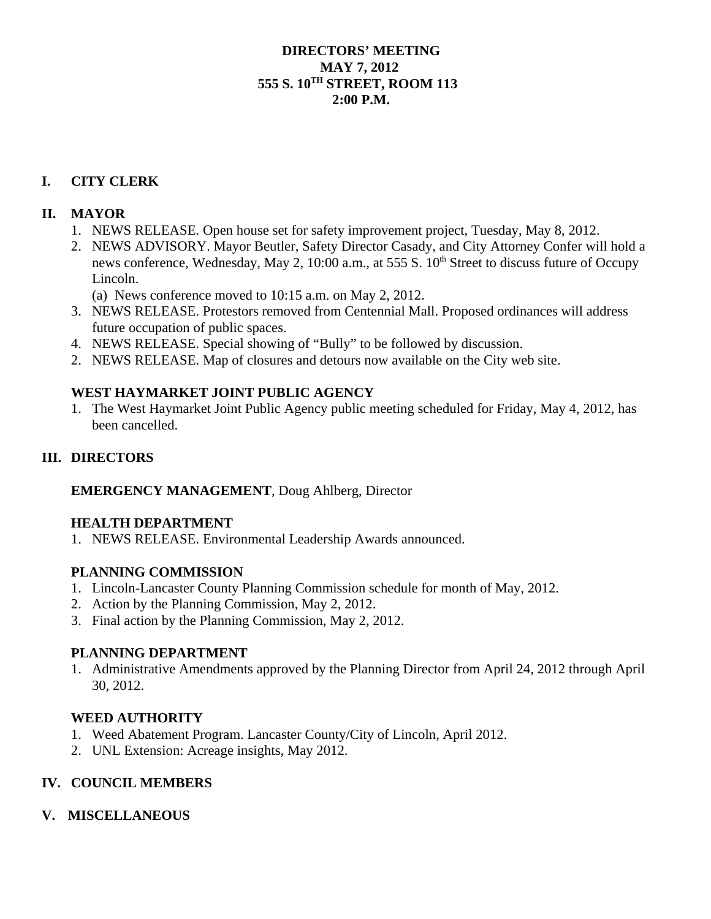### **DIRECTORS' MEETING MAY 7, 2012 555 S. 10TH STREET, ROOM 113 2:00 P.M.**

# **I. CITY CLERK**

## **II. MAYOR**

- 1. NEWS RELEASE. Open house set for safety improvement project, Tuesday, May 8, 2012.
- 2. NEWS ADVISORY. Mayor Beutler, Safety Director Casady, and City Attorney Confer will hold a news conference, Wednesday, May 2, 10:00 a.m., at 555 S. 10<sup>th</sup> Street to discuss future of Occupy Lincoln.
	- (a) News conference moved to 10:15 a.m. on May 2, 2012.
- 3. NEWS RELEASE. Protestors removed from Centennial Mall. Proposed ordinances will address future occupation of public spaces.
- 4. NEWS RELEASE. Special showing of "Bully" to be followed by discussion.
- 2. NEWS RELEASE. Map of closures and detours now available on the City web site.

### **WEST HAYMARKET JOINT PUBLIC AGENCY**

1. The West Haymarket Joint Public Agency public meeting scheduled for Friday, May 4, 2012, has been cancelled.

## **III. DIRECTORS**

#### **EMERGENCY MANAGEMENT**, Doug Ahlberg, Director

#### **HEALTH DEPARTMENT**

1. NEWS RELEASE. Environmental Leadership Awards announced.

#### **PLANNING COMMISSION**

- 1. Lincoln-Lancaster County Planning Commission schedule for month of May, 2012.
- 2. Action by the Planning Commission, May 2, 2012.
- 3. Final action by the Planning Commission, May 2, 2012.

#### **PLANNING DEPARTMENT**

1. Administrative Amendments approved by the Planning Director from April 24, 2012 through April 30, 2012.

#### **WEED AUTHORITY**

- 1. Weed Abatement Program. Lancaster County/City of Lincoln, April 2012.
- 2. UNL Extension: Acreage insights, May 2012.

#### **IV. COUNCIL MEMBERS**

#### **V. MISCELLANEOUS**